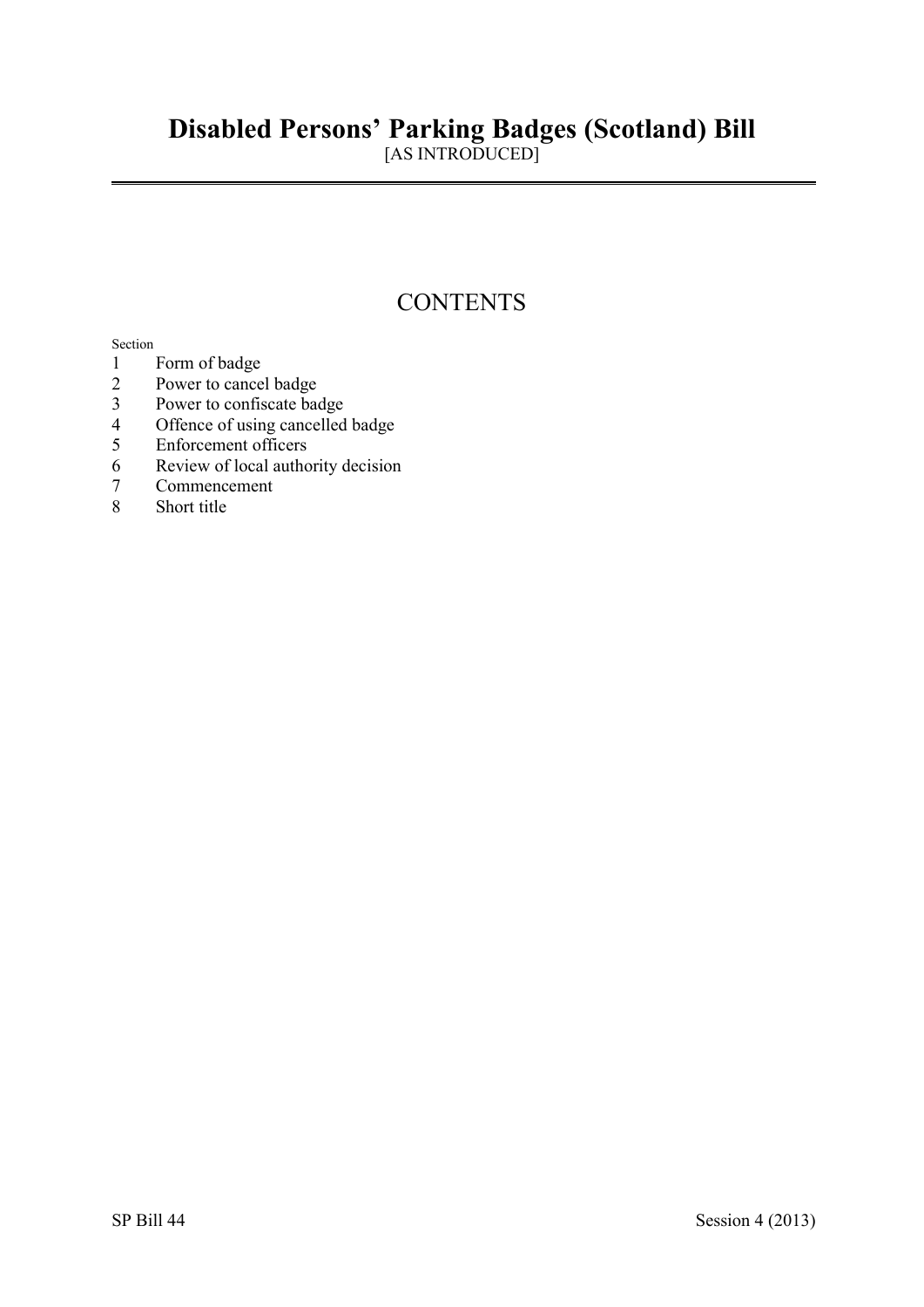# **Disabled Persons' Parking Badges (Scotland) Bill**

[AS INTRODUCED]

# **CONTENTS**

#### Section

- 1 Form of badge<br>2 Power to cance
- Power to cancel badge
- 3 Power to confiscate badge
- 4 Offence of using cancelled badge
- 5 Enforcement officers
- 6 Review of local authority decision<br>7 Commencement
- 7 Commencement
- Short title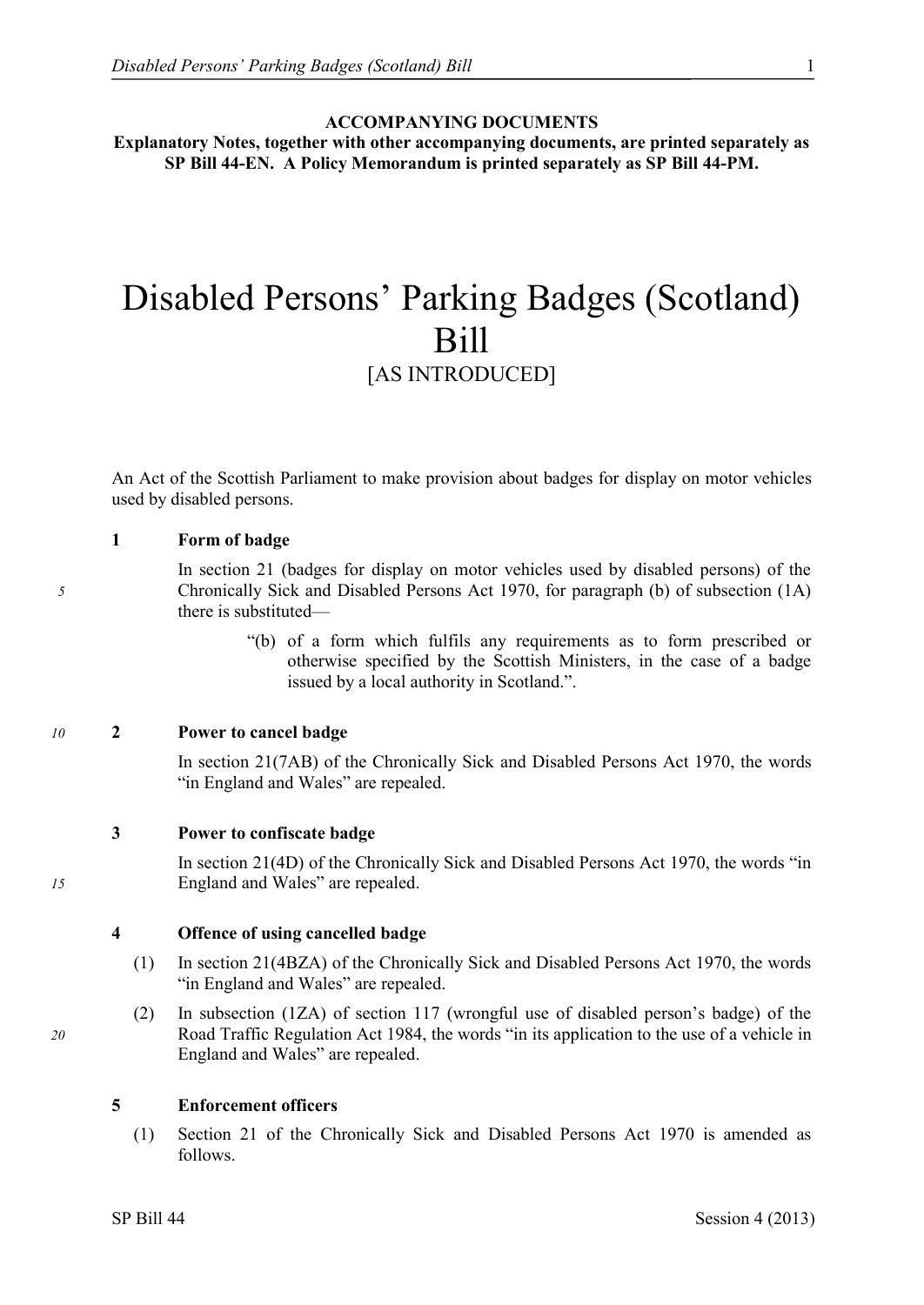#### **ACCOMPANYING DOCUMENTS**

**Explanatory Notes, together with other accompanying documents, are printed separately as SP Bill 44-EN. A Policy Memorandum is printed separately as SP Bill 44-PM.**

# Disabled Persons' Parking Badges (Scotland) Bill

# [AS INTRODUCED]

An Act of the Scottish Parliament to make provision about badges for display on motor vehicles used by disabled persons.

#### **1 Form of badge**

In section 21 (badges for display on motor vehicles used by disabled persons) of the *5* Chronically Sick and Disabled Persons Act 1970, for paragraph (b) of subsection (1A) there is substituted—

> "(b) of a form which fulfils any requirements as to form prescribed or otherwise specified by the Scottish Ministers, in the case of a badge issued by a local authority in Scotland.".

#### *10* **2 Power to cancel badge**

In section 21(7AB) of the Chronically Sick and Disabled Persons Act 1970, the words "in England and Wales" are repealed.

#### **3 Power to confiscate badge**

In section 21(4D) of the Chronically Sick and Disabled Persons Act 1970, the words "in *15* England and Wales" are repealed.

#### **4 Offence of using cancelled badge**

- (1) In section 21(4BZA) of the Chronically Sick and Disabled Persons Act 1970, the words "in England and Wales" are repealed.
- (2) In subsection (1ZA) of section 117 (wrongful use of disabled person's badge) of the *20* Road Traffic Regulation Act 1984, the words "in its application to the use of a vehicle in England and Wales" are repealed.

#### **5 Enforcement officers**

(1) Section 21 of the Chronically Sick and Disabled Persons Act 1970 is amended as follows.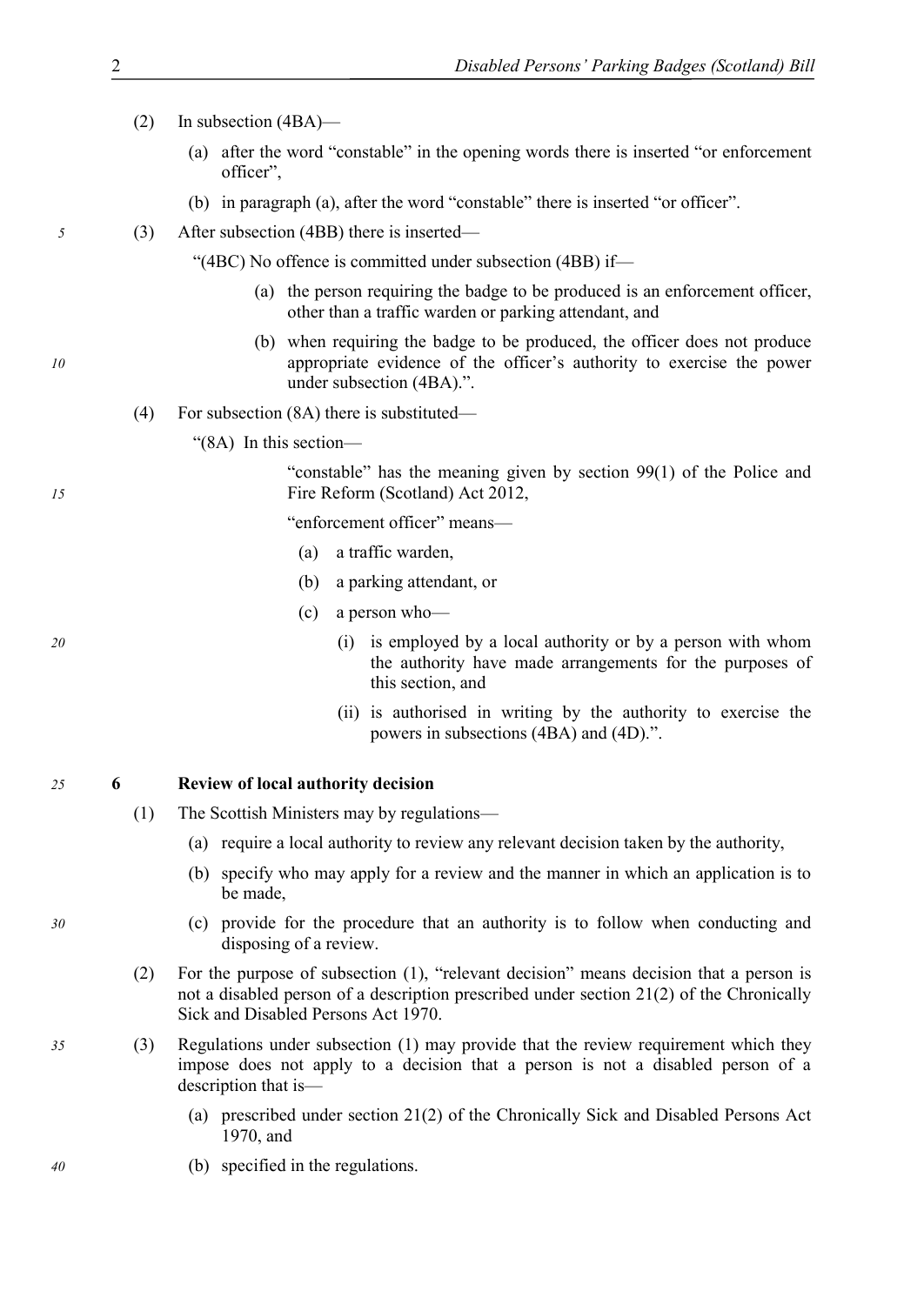#### (2) In subsection (4BA)—

- (a) after the word "constable" in the opening words there is inserted "or enforcement officer",
- (b) in paragraph (a), after the word "constable" there is inserted "or officer".
- *5* (3) After subsection (4BB) there is inserted—

"(4BC) No offence is committed under subsection (4BB) if—

- (a) the person requiring the badge to be produced is an enforcement officer, other than a traffic warden or parking attendant, and
- (b) when requiring the badge to be produced, the officer does not produce *10* appropriate evidence of the officer's authority to exercise the power under subsection (4BA).".
	- (4) For subsection (8A) there is substituted—
		- "(8A) In this section—

"constable" has the meaning given by section 99(1) of the Police and *15* Fire Reform (Scotland) Act 2012,

"enforcement officer" means—

- (a) a traffic warden,
- (b) a parking attendant, or
- (c) a person who—
- *20* (i) is employed by a local authority or by a person with whom the authority have made arrangements for the purposes of this section, and
	- (ii) is authorised in writing by the authority to exercise the powers in subsections (4BA) and (4D).".

#### *25* **6 Review of local authority decision**

- (1) The Scottish Ministers may by regulations—
	- (a) require a local authority to review any relevant decision taken by the authority,
	- (b) specify who may apply for a review and the manner in which an application is to be made,
- *30* (c) provide for the procedure that an authority is to follow when conducting and disposing of a review.
	- (2) For the purpose of subsection [\(1\)](#page-3-0), "relevant decision" means decision that a person is not a disabled person of a description prescribed under section 21(2) of the Chronically Sick and Disabled Persons Act 1970.
- *35* (3) Regulations under subsection [\(1\)](#page-3-0) may provide that the review requirement which they impose does not apply to a decision that a person is not a disabled person of a description that is—
	- (a) prescribed under section 21(2) of the Chronically Sick and Disabled Persons Act 1970, and
- *40* (b) specified in the regulations.

<span id="page-3-0"></span>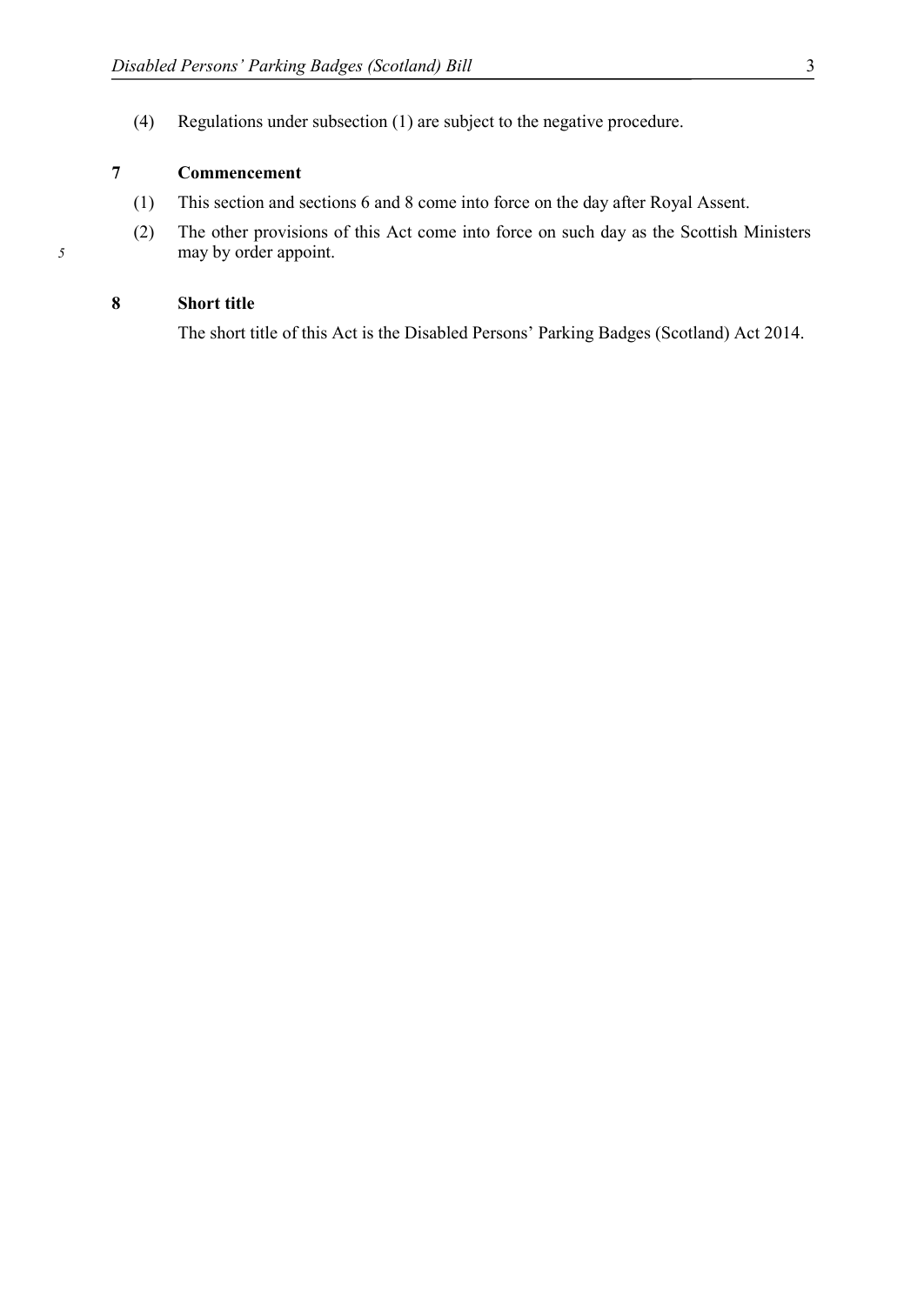<span id="page-4-0"></span>(4) Regulations under subsection [\(1\)](#page-3-0) are subject to the negative procedure.

### **7 Commencement**

- (1) This section and sections [6](#page-3-0) and [8](#page-4-0) come into force on the day after Royal Assent.
- (2) The other provisions of this Act come into force on such day as the Scottish Ministers *5* may by order appoint.

#### **8 Short title**

The short title of this Act is the Disabled Persons' Parking Badges (Scotland) Act 2014.